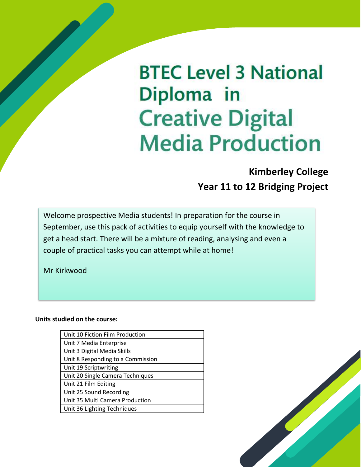# **BTEC Level 3 National** Diploma in **Creative Digital Media Production**

### **Kimberley College Year 11 to 12 Bridging Project**

Welcome prospective Media students! In preparation for the course in September, use this pack of activities to equip yourself with the knowledge to get a head start. There will be a mixture of reading, analysing and even a couple of practical tasks you can attempt while at home!

Mr Kirkwood

#### **Units studied on the course:**

| Unit 10 Fiction Film Production   |
|-----------------------------------|
| Unit 7 Media Enterprise           |
| Unit 3 Digital Media Skills       |
| Unit 8 Responding to a Commission |
| Unit 19 Scriptwriting             |
| Unit 20 Single Camera Techniques  |
| Unit 21 Film Editing              |
| Unit 25 Sound Recording           |
| Unit 35 Multi Camera Production   |
| Unit 36 Lighting Techniques       |
|                                   |

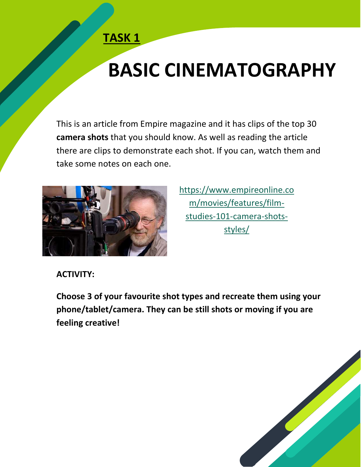# **BASIC CINEMATOGRAPHY**

This is an article from Empire magazine and it has clips of the top 30 **camera shots** that you should know. As well as reading the article there are clips to demonstrate each shot. If you can, watch them and take some notes on each one.



[https://www.empireonline.co](https://www.empireonline.com/movies/features/film-studies-101-camera-shots-styles/) [m/movies/features/film](https://www.empireonline.com/movies/features/film-studies-101-camera-shots-styles/)[studies-101-camera-shots](https://www.empireonline.com/movies/features/film-studies-101-camera-shots-styles/)[styles/](https://www.empireonline.com/movies/features/film-studies-101-camera-shots-styles/)

**ACTIVITY:**

**Choose 3 of your favourite shot types and recreate them using your phone/tablet/camera. They can be still shots or moving if you are feeling creative!**

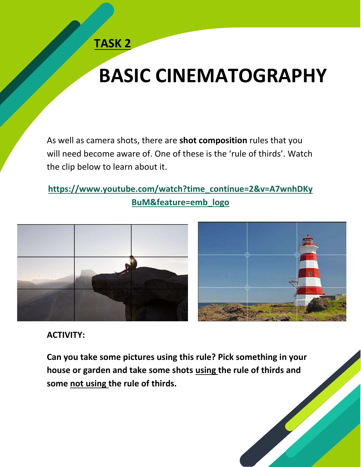## **BASIC CINEMATOGRAPHY**

As well as camera shots, there are **shot composition** rules that you will need become aware of. One of these is the 'rule of thirds'. Watch the clip below to learn about it.

### **[https://www.youtube.com/watch?time\\_continue=2&v=A7wnhDKy](https://www.youtube.com/watch?time_continue=2&v=A7wnhDKyBuM&feature=emb_logo) [BuM&feature=emb\\_logo](https://www.youtube.com/watch?time_continue=2&v=A7wnhDKyBuM&feature=emb_logo)**



### **ACTIVITY:**

**Can you take some pictures using this rule? Pick something in your house or garden and take some shots using the rule of thirds and some not using the rule of thirds.**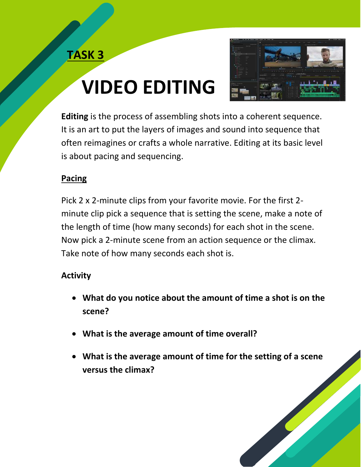# **VIDEO EDITING**



**Editing** is the process of assembling shots into a coherent sequence. It is an art to put the layers of images and sound into sequence that often reimagines or crafts a whole narrative. Editing at its basic level is about pacing and sequencing.

### **Pacing**

Pick 2 x 2-minute clips from your favorite movie. For the first 2 minute clip pick a sequence that is setting the scene, make a note of the length of time (how many seconds) for each shot in the scene. Now pick a 2-minute scene from an action sequence or the climax. Take note of how many seconds each shot is.

### **Activity**

- **What do you notice about the amount of time a shot is on the scene?**
- **What is the average amount of time overall?**
- **What is the average amount of time for the setting of a scene versus the climax?**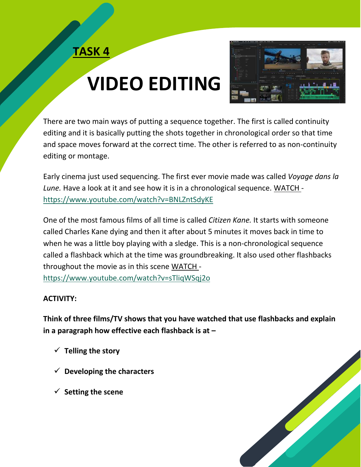# **VIDEO EDITING**



There are two main ways of putting a sequence together. The first is called continuity editing and it is basically putting the shots together in chronological order so that time and space moves forward at the correct time. The other is referred to as non-continuity editing or montage.

Early cinema just used sequencing. The first ever movie made was called *Voyage dans la Lune.* Have a look at it and see how it is in a chronological sequence. WATCH <https://www.youtube.com/watch?v=BNLZntSdyKE>

One of the most famous films of all time is called *Citizen Kane.* It starts with someone called Charles Kane dying and then it after about 5 minutes it moves back in time to when he was a little boy playing with a sledge. This is a non-chronological sequence called a flashback which at the time was groundbreaking. It also used other flashbacks throughout the movie as in this scene WATCH <https://www.youtube.com/watch?v=sTliqWSqj2o>

#### **ACTIVITY:**

**Think of three films/TV shows that you have watched that use flashbacks and explain in a paragraph how effective each flashback is at –**

- ✓ **Telling the story**
- ✓ **Developing the characters**
- ✓ **Setting the scene**

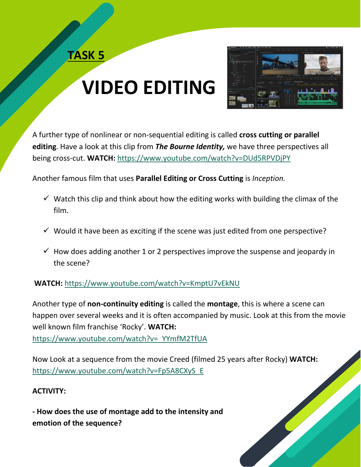# **VIDEO EDITING**



A further type of nonlinear or non-sequential editing is called **cross cutting or parallel editing**. Have a look at this clip from *The Bourne Identity,* we have three perspectives all being cross-cut. **WATCH:** <https://www.youtube.com/watch?v=DUd5RPVDjPY>

Another famous film that uses **Parallel Editing or Cross Cutting** is *Inception.* 

- $\checkmark$  Watch this clip and think about how the editing works with building the climax of the film.
- $\checkmark$  Would it have been as exciting if the scene was just edited from one perspective?
- $\checkmark$  How does adding another 1 or 2 perspectives improve the suspense and jeopardy in the scene?

#### **WATCH:** <https://www.youtube.com/watch?v=KmptU7vEkNU>

Another type of **non-continuity editing** is called the **montage**, this is where a scene can happen over several weeks and it is often accompanied by music. Look at this from the movie well known film franchise 'Rocky'. **WATCH:** [https://www.youtube.com/watch?v=\\_YYmfM2TfUA](https://www.youtube.com/watch?v=_YYmfM2TfUA)

Now Look at a sequence from the movie Creed (filmed 25 years after Rocky) **WATCH:** [https://www.youtube.com/watch?v=Fp5A8CXyS\\_E](https://www.youtube.com/watch?v=Fp5A8CXyS_E)

#### **ACTIVITY:**

**- How does the use of montage add to the intensity and emotion of the sequence?**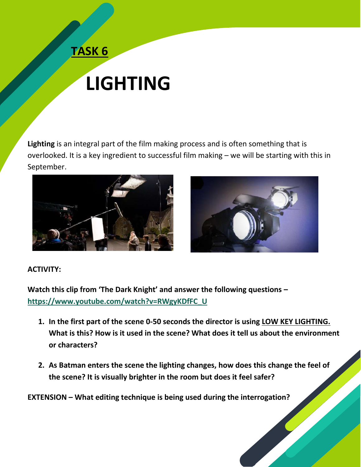## **LIGHTING**

**Lighting** is an integral part of the film making process and is often something that is overlooked. It is a key ingredient to successful film making – we will be starting with this in September.





#### **ACTIVITY:**

**Watch this clip from 'The Dark Knight' and answer the following questions – [https://www.youtube.com/watch?v=RWgyKDfFC\\_U](https://www.youtube.com/watch?v=RWgyKDfFC_U)**

- **1. In the first part of the scene 0-50 seconds the director is using LOW KEY LIGHTING. What is this? How is it used in the scene? What does it tell us about the environment or characters?**
- **2. As Batman enters the scene the lighting changes, how does this change the feel of the scene? It is visually brighter in the room but does it feel safer?**

**EXTENSION – What editing technique is being used during the interrogation?**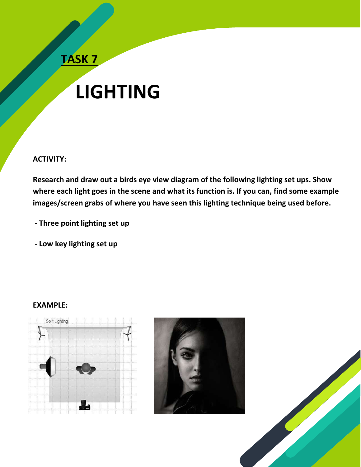## **LIGHTING**

#### **ACTIVITY:**

**Research and draw out a birds eye view diagram of the following lighting set ups. Show where each light goes in the scene and what its function is. If you can, find some example images/screen grabs of where you have seen this lighting technique being used before.**

**- Three point lighting set up** 

**- Low key lighting set up** 

#### **EXAMPLE:**





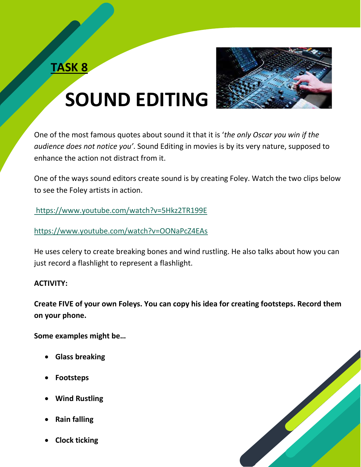

# **SOUND EDITING**

One of the most famous quotes about sound it that it is '*the only Oscar you win if the audience does not notice you'*. Sound Editing in movies is by its very nature, supposed to enhance the action not distract from it.

One of the ways sound editors create sound is by creating Foley. Watch the two clips below to see the Foley artists in action.

<https://www.youtube.com/watch?v=5Hkz2TR199E>

<https://www.youtube.com/watch?v=OONaPcZ4EAs>

He uses celery to create breaking bones and wind rustling. He also talks about how you can just record a flashlight to represent a flashlight.

#### **ACTIVITY:**

**Create FIVE of your own Foleys. You can copy his idea for creating footsteps. Record them on your phone.** 

**Some examples might be…**

- **Glass breaking**
- **Footsteps**
- **Wind Rustling**
- **Rain falling**
- **Clock ticking**

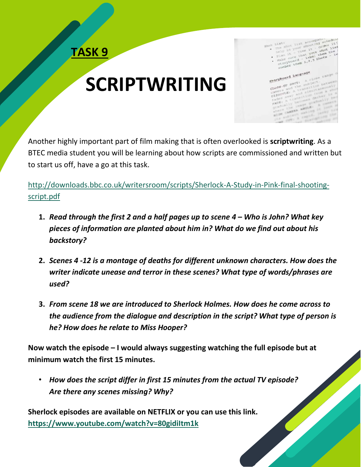

## **SCRIPTWRITING**

 $rel$ them Storyboard Language

Another highly important part of film making that is often overlooked is **scriptwriting**. As a BTEC media student you will be learning about how scripts are commissioned and written but to start us off, have a go at this task.

[http://downloads.bbc.co.uk/writersroom/scripts/Sherlock-A-Study-in-Pink-final-shooting](http://downloads.bbc.co.uk/writersroom/scripts/Sherlock-A-Study-in-Pink-final-shooting-script.pdf)[script.pdf](http://downloads.bbc.co.uk/writersroom/scripts/Sherlock-A-Study-in-Pink-final-shooting-script.pdf)

- **1.** *Read through the first 2 and a half pages up to scene 4 – Who is John? What key pieces of information are planted about him in? What do we find out about his backstory?*
- **2.** *Scenes 4 -12 is a montage of deaths for different unknown characters. How does the writer indicate unease and terror in these scenes? What type of words/phrases are used?*
- **3.** *From scene 18 we are introduced to Sherlock Holmes. How does he come across to the audience from the dialogue and description in the script? What type of person is he? How does he relate to Miss Hooper?*

**Now watch the episode – I would always suggesting watching the full episode but at minimum watch the first 15 minutes.**

• *How does the script differ in first 15 minutes from the actual TV episode? Are there any scenes missing? Why?*

**Sherlock episodes are available on NETFLIX or you can use this link. <https://www.youtube.com/watch?v=80gidiItm1k>**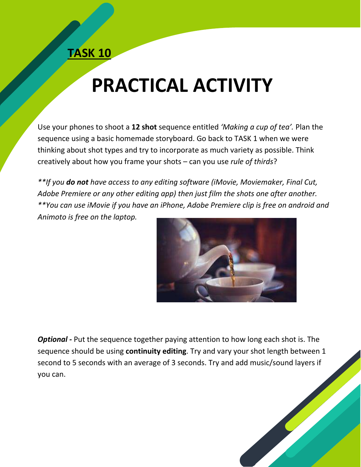## **PRACTICAL ACTIVITY**

Use your phones to shoot a **12 shot** sequence entitled *'Making a cup of tea'.* Plan the sequence using a basic homemade storyboard. Go back to TASK 1 when we were thinking about shot types and try to incorporate as much variety as possible. Think creatively about how you frame your shots – can you use *rule of thirds*?

*\*\*If you do not have access to any editing software (iMovie, Moviemaker, Final Cut, Adobe Premiere or any other editing app) then just film the shots one after another. \*\*You can use iMovie if you have an iPhone, Adobe Premiere clip is free on android and Animoto is free on the laptop.*



*Optional -* Put the sequence together paying attention to how long each shot is. The sequence should be using **continuity editing**. Try and vary your shot length between 1 second to 5 seconds with an average of 3 seconds. Try and add music/sound layers if you can.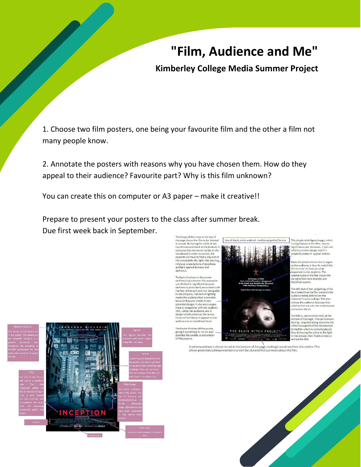## **"Film, Audience and Me"**

#### **Kimberley College Media Summer Project**

1. Choose two film posters, one being your favourite film and the other a film not many people know.

2. Annotate the posters with reasons why you have chosen them. How do they appeal to their audience? Favourite part? Why is this film unknown?

You can create this on computer or A3 paper – make it creative!!

Prepare to present your posters to the class after summer break. Due first week back in September.

The image of the trees at the top of<br>the page shows the film to be located<br>in woods. By having the white at the<br>top of trees and black at the bottom, it connotes that the terror resides in the<br>woods and in order to survive, the<br>students will have to find a way out of<br>the woods (into the light- this also has religious connotations of goodness and light against badness and darkness).

The lack of colour on the poster confirms it as a horror. The excessive<br>use of black is significant because the of uncertainty associated with<br>darkness is particularly associated with<br>the fear of the dark and not being able<br>to see properly. This lack of lighting<br>makes the audience feel vulnerable<br>because they are unable to see potential danger. It also encourage them to empathise with the students them to entrance with the addence, are in<br>danger which enhances the terror<br>factor of the film as it appeals to the<br>audience on an emotional level.

The footer finishes off the poster,<br>giving it something to 'sit on' and provides the credits- a convention of film posters



A website address is shown in red at the bottom of the page, making it stand out from the credits. This<br>allows potential audience members to visit the site and find out more about the film.

hich connotes danger and it's es it appear sinis

yline is shown but is vague so the audience is keen to watch the Im in order to find out what appened to the students. The uppended to the students. The<br>ummary about the film makes the<br>toryline feel more realistic and erefore scarier.

The still shot of the up lighting of the ace taken from the film prevents the ace taken from the tim prevents in<br>udience being able to see the<br>intracter's surroundings. This also<br>intices the audience because they what to find out why she looks scared and where she is.

The title is, unconventionally, at the The time is, unconventioning, at the<br>bottom of the page. The eye is drawn<br>here by originally being drawn to the<br>white focus point of the introduction to the film which is centrally placed, then following the white to the light<br>In the picture, then finally comes to st on the title